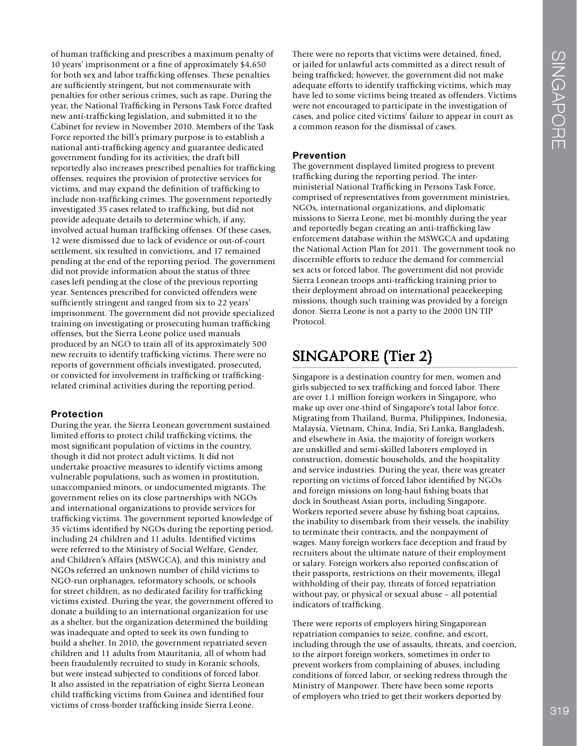of human traffcking and prescribes a maximum penalty of 10 years' imprisonment or a fne of approximately \$4,650 for both sex and labor traffcking offenses. These penalties are suffciently stringent, but not commensurate with penalties for other serious crimes, such as rape. During the year, the National Traffcking in Persons Task Force drafted new anti-traffcking legislation, and submitted it to the Cabinet for review in November 2010. Members of the Task Force reported the bill's primary purpose is to establish a national anti-traffcking agency and guarantee dedicated government funding for its activities; the draft bill reportedly also increases prescribed penalties for traffcking offenses, requires the provision of protective services for victims, and may expand the defnition of traffcking to include non-traffcking crimes. The government reportedly investigated 35 cases related to traffcking, but did not provide adequate details to determine which, if any, involved actual human trafficking offenses. Of these cases, 12 were dismissed due to lack of evidence or out-of-court settlement, six resulted in convictions, and 17 remained pending at the end of the reporting period. The government did not provide information about the status of three cases left pending at the close of the previous reporting year. Sentences prescribed for convicted offenders were sufficiently stringent and ranged from six to 22 years' imprisonment. The government did not provide specialized training on investigating or prosecuting human traffcking offenses, but the Sierra Leone police used manuals produced by an NGO to train all of its approximately 500 new recruits to identify traffcking victims. There were no reports of government offcials investigated, prosecuted, or convicted for involvement in traffcking or traffckingrelated criminal activities during the reporting period.

### **Protection**

During the year, the Sierra Leonean government sustained limited efforts to protect child traffcking victims, the most signifcant population of victims in the country, though it did not protect adult victims. It did not undertake proactive measures to identify victims among vulnerable populations, such as women in prostitution, unaccompanied minors, or undocumented migrants. The government relies on its close partnerships with NGOs and international organizations to provide services for traffcking victims. The government reported knowledge of 35 victims identifed by NGOs during the reporting period, including 24 children and 11 adults. Identifed victims were referred to the Ministry of Social Welfare, Gender, and Children's Affairs (MSWGCA), and this ministry and NGOs referred an unknown number of child victims to NGO-run orphanages, reformatory schools, or schools for street children, as no dedicated facility for traffcking victims existed. During the year, the government offered to donate a building to an international organization for use as a shelter, but the organization determined the building was inadequate and opted to seek its own funding to build a shelter. In 2010, the government repatriated seven children and 11 adults from Mauritania, all of whom had been fraudulently recruited to study in Koranic schools, but were instead subjected to conditions of forced labor. It also assisted in the repatriation of eight Sierra Leonean child traffcking victims from Guinea and identifed four victims of cross-border traffcking inside Sierra Leone.

There were no reports that victims were detained, fned, or jailed for unlawful acts committed as a direct result of being traffcked; however, the government did not make adequate efforts to identify traffcking victims, which may have led to some victims being treated as offenders. Victims were not encouraged to participate in the investigation of cases, and police cited victims' failure to appear in court as a common reason for the dismissal of cases.

### **Prevention**

The government displayed limited progress to prevent traffcking during the reporting period. The interministerial National Traffcking in Persons Task Force, comprised of representatives from government ministries, NGOs, international organizations, and diplomatic missions to Sierra Leone, met bi-monthly during the year and reportedly began creating an anti-traffcking law enforcement database within the MSWGCA and updating the National Action Plan for 2011. The government took no discernible efforts to reduce the demand for commercial sex acts or forced labor. The government did not provide Sierra Leonean troops anti-traffcking training prior to their deployment abroad on international peacekeeping missions, though such training was provided by a foreign donor. Sierra Leone is not a party to the 2000 UN TIP Protocol.

# SINGAPORE (Tier 2)

Singapore is a destination country for men, women and girls subjected to sex traffcking and forced labor. There are over 1.1 million foreign workers in Singapore, who make up over one-third of Singapore's total labor force. Migrating from Thailand, Burma, Philippines, Indonesia, Malaysia, Vietnam, China, India, Sri Lanka, Bangladesh, and elsewhere in Asia, the majority of foreign workers are unskilled and semi-skilled laborers employed in construction, domestic households, and the hospitality and service industries. During the year, there was greater reporting on victims of forced labor identifed by NGOs and foreign missions on long-haul fshing boats that dock in Southeast Asian ports, including Singapore. Workers reported severe abuse by fshing boat captains, the inability to disembark from their vessels, the inability to terminate their contracts, and the nonpayment of wages. Many foreign workers face deception and fraud by recruiters about the ultimate nature of their employment or salary. Foreign workers also reported confscation of their passports, restrictions on their movements, illegal withholding of their pay, threats of forced repatriation without pay, or physical or sexual abuse – all potential indicators of trafficking.

There were reports of employers hiring Singaporean repatriation companies to seize, confne, and escort, including through the use of assaults, threats, and coercion, to the airport foreign workers, sometimes in order to prevent workers from complaining of abuses, including conditions of forced labor, or seeking redress through the Ministry of Manpower. There have been some reports of employers who tried to get their workers deported by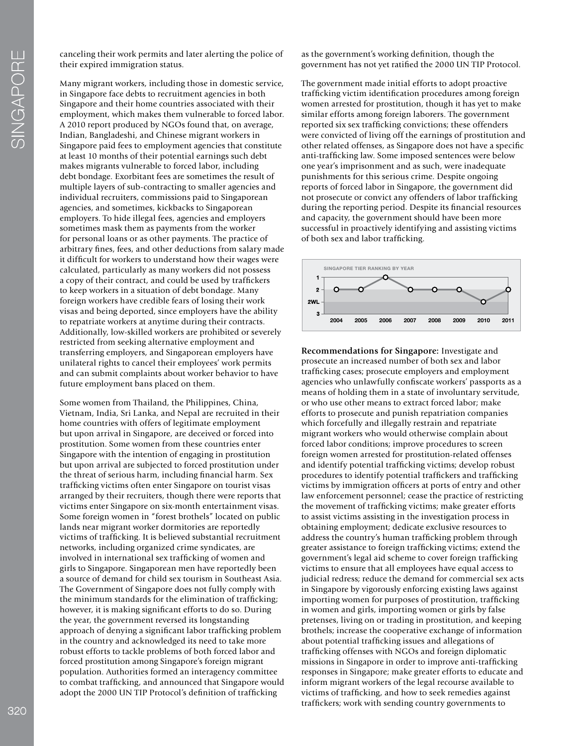canceling their work permits and later alerting the police of their expired immigration status.

Many migrant workers, including those in domestic service, in Singapore face debts to recruitment agencies in both Singapore and their home countries associated with their employment, which makes them vulnerable to forced labor. A 2010 report produced by NGOs found that, on average, Indian, Bangladeshi, and Chinese migrant workers in Singapore paid fees to employment agencies that constitute at least 10 months of their potential earnings such debt makes migrants vulnerable to forced labor, including debt bondage. Exorbitant fees are sometimes the result of multiple layers of sub-contracting to smaller agencies and individual recruiters, commissions paid to Singaporean agencies, and sometimes, kickbacks to Singaporean employers. To hide illegal fees, agencies and employers sometimes mask them as payments from the worker for personal loans or as other payments. The practice of arbitrary fnes, fees, and other deductions from salary made it diffcult for workers to understand how their wages were calculated, particularly as many workers did not possess a copy of their contract, and could be used by traffckers to keep workers in a situation of debt bondage. Many foreign workers have credible fears of losing their work visas and being deported, since employers have the ability to repatriate workers at anytime during their contracts. Additionally, low-skilled workers are prohibited or severely restricted from seeking alternative employment and transferring employers, and Singaporean employers have unilateral rights to cancel their employees' work permits and can submit complaints about worker behavior to have future employment bans placed on them.

Some women from Thailand, the Philippines, China, Vietnam, India, Sri Lanka, and Nepal are recruited in their home countries with offers of legitimate employment but upon arrival in Singapore, are deceived or forced into prostitution. Some women from these countries enter Singapore with the intention of engaging in prostitution but upon arrival are subjected to forced prostitution under the threat of serious harm, including fnancial harm. Sex traffcking victims often enter Singapore on tourist visas arranged by their recruiters, though there were reports that victims enter Singapore on six-month entertainment visas. Some foreign women in "forest brothels" located on public lands near migrant worker dormitories are reportedly victims of traffcking. It is believed substantial recruitment networks, including organized crime syndicates, are involved in international sex traffcking of women and girls to Singapore. Singaporean men have reportedly been a source of demand for child sex tourism in Southeast Asia. The Government of Singapore does not fully comply with the minimum standards for the elimination of traffcking; however, it is making signifcant efforts to do so. During the year, the government reversed its longstanding approach of denying a signifcant labor traffcking problem in the country and acknowledged its need to take more robust efforts to tackle problems of both forced labor and forced prostitution among Singapore's foreign migrant population. Authorities formed an interagency committee to combat traffcking, and announced that Singapore would adopt the 2000 UN TIP Protocol's definition of trafficking

as the government's working defnition, though the government has not yet ratifed the 2000 UN TIP Protocol.

The government made initial efforts to adopt proactive traffcking victim identifcation procedures among foreign women arrested for prostitution, though it has yet to make similar efforts among foreign laborers. The government reported six sex traffcking convictions; these offenders were convicted of living off the earnings of prostitution and other related offenses, as Singapore does not have a specifc anti-traffcking law. Some imposed sentences were below one year's imprisonment and as such, were inadequate punishments for this serious crime. Despite ongoing reports of forced labor in Singapore, the government did not prosecute or convict any offenders of labor traffcking during the reporting period. Despite its fnancial resources and capacity, the government should have been more successful in proactively identifying and assisting victims of both sex and labor traffcking.



**Recommendations for Singapore:** Investigate and prosecute an increased number of both sex and labor traffcking cases; prosecute employers and employment agencies who unlawfully confscate workers' passports as a means of holding them in a state of involuntary servitude, or who use other means to extract forced labor; make efforts to prosecute and punish repatriation companies which forcefully and illegally restrain and repatriate migrant workers who would otherwise complain about forced labor conditions; improve procedures to screen foreign women arrested for prostitution-related offenses and identify potential traffcking victims; develop robust procedures to identify potential traffckers and traffcking victims by immigration offcers at ports of entry and other law enforcement personnel; cease the practice of restricting the movement of traffcking victims; make greater efforts to assist victims assisting in the investigation process in obtaining employment; dedicate exclusive resources to address the country's human traffcking problem through greater assistance to foreign traffcking victims; extend the government's legal aid scheme to cover foreign traffcking victims to ensure that all employees have equal access to judicial redress; reduce the demand for commercial sex acts in Singapore by vigorously enforcing existing laws against importing women for purposes of prostitution, traffcking in women and girls, importing women or girls by false pretenses, living on or trading in prostitution, and keeping brothels; increase the cooperative exchange of information about potential traffcking issues and allegations of traffcking offenses with NGOs and foreign diplomatic missions in Singapore in order to improve anti-traffcking responses in Singapore; make greater efforts to educate and inform migrant workers of the legal recourse available to victims of traffcking, and how to seek remedies against traffckers; work with sending country governments to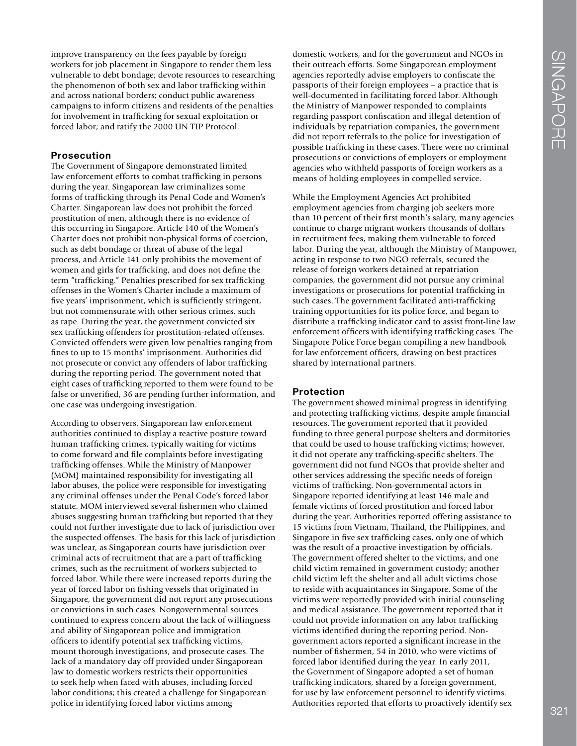improve transparency on the fees payable by foreign workers for job placement in Singapore to render them less vulnerable to debt bondage; devote resources to researching the phenomenon of both sex and labor traffcking within and across national borders; conduct public awareness campaigns to inform citizens and residents of the penalties for involvement in traffcking for sexual exploitation or forced labor; and ratify the 2000 UN TIP Protocol.

#### **Prosecution**

The Government of Singapore demonstrated limited law enforcement efforts to combat traffcking in persons during the year. Singaporean law criminalizes some forms of traffcking through its Penal Code and Women's Charter. Singaporean law does not prohibit the forced prostitution of men, although there is no evidence of this occurring in Singapore. Article 140 of the Women's Charter does not prohibit non-physical forms of coercion, such as debt bondage or threat of abuse of the legal process, and Article 141 only prohibits the movement of women and girls for traffcking, and does not defne the term "traffcking." Penalties prescribed for sex traffcking offenses in the Women's Charter include a maximum of five years' imprisonment, which is sufficiently stringent, but not commensurate with other serious crimes, such as rape. During the year, the government convicted six sex traffcking offenders for prostitution-related offenses. Convicted offenders were given low penalties ranging from fnes to up to 15 months' imprisonment. Authorities did not prosecute or convict any offenders of labor traffcking during the reporting period. The government noted that eight cases of traffcking reported to them were found to be false or unverifed, 36 are pending further information, and one case was undergoing investigation.

According to observers, Singaporean law enforcement authorities continued to display a reactive posture toward human traffcking crimes, typically waiting for victims to come forward and fle complaints before investigating traffcking offenses. While the Ministry of Manpower (MOM) maintained responsibility for investigating all labor abuses, the police were responsible for investigating any criminal offenses under the Penal Code's forced labor statute. MOM interviewed several fshermen who claimed abuses suggesting human traffcking but reported that they could not further investigate due to lack of jurisdiction over the suspected offenses. The basis for this lack of jurisdiction was unclear, as Singaporean courts have jurisdiction over criminal acts of recruitment that are a part of traffcking crimes, such as the recruitment of workers subjected to forced labor. While there were increased reports during the year of forced labor on fshing vessels that originated in Singapore, the government did not report any prosecutions or convictions in such cases. Nongovernmental sources continued to express concern about the lack of willingness and ability of Singaporean police and immigration officers to identify potential sex trafficking victims, mount thorough investigations, and prosecute cases. The lack of a mandatory day off provided under Singaporean law to domestic workers restricts their opportunities to seek help when faced with abuses, including forced labor conditions; this created a challenge for Singaporean police in identifying forced labor victims among

domestic workers, and for the government and NGOs in their outreach efforts. Some Singaporean employment agencies reportedly advise employers to confscate the passports of their foreign employees – a practice that is well-documented in facilitating forced labor. Although the Ministry of Manpower responded to complaints regarding passport confscation and illegal detention of individuals by repatriation companies, the government did not report referrals to the police for investigation of possible traffcking in these cases. There were no criminal prosecutions or convictions of employers or employment agencies who withheld passports of foreign workers as a means of holding employees in compelled service.

While the Employment Agencies Act prohibited employment agencies from charging job seekers more than 10 percent of their frst month's salary, many agencies continue to charge migrant workers thousands of dollars in recruitment fees, making them vulnerable to forced labor. During the year, although the Ministry of Manpower, acting in response to two NGO referrals, secured the release of foreign workers detained at repatriation companies, the government did not pursue any criminal investigations or prosecutions for potential traffcking in such cases. The government facilitated anti-trafficking training opportunities for its police force, and began to distribute a traffcking indicator card to assist front-line law enforcement offcers with identifying traffcking cases. The Singapore Police Force began compiling a new handbook for law enforcement officers, drawing on best practices shared by international partners.

#### **Protection**

The government showed minimal progress in identifying and protecting traffcking victims, despite ample fnancial resources. The government reported that it provided funding to three general purpose shelters and dormitories that could be used to house traffcking victims; however, it did not operate any traffcking-specifc shelters. The government did not fund NGOs that provide shelter and other services addressing the specifc needs of foreign victims of traffcking. Non-governmental actors in Singapore reported identifying at least 146 male and female victims of forced prostitution and forced labor during the year. Authorities reported offering assistance to 15 victims from Vietnam, Thailand, the Philippines, and Singapore in fve sex traffcking cases, only one of which was the result of a proactive investigation by officials. The government offered shelter to the victims, and one child victim remained in government custody; another child victim left the shelter and all adult victims chose to reside with acquaintances in Singapore. Some of the victims were reportedly provided with initial counseling and medical assistance. The government reported that it could not provide information on any labor traffcking victims identifed during the reporting period. Nongovernment actors reported a signifcant increase in the number of fshermen, 54 in 2010, who were victims of forced labor identifed during the year. In early 2011, the Government of Singapore adopted a set of human traffcking indicators, shared by a foreign government, for use by law enforcement personnel to identify victims. Authorities reported that efforts to proactively identify sex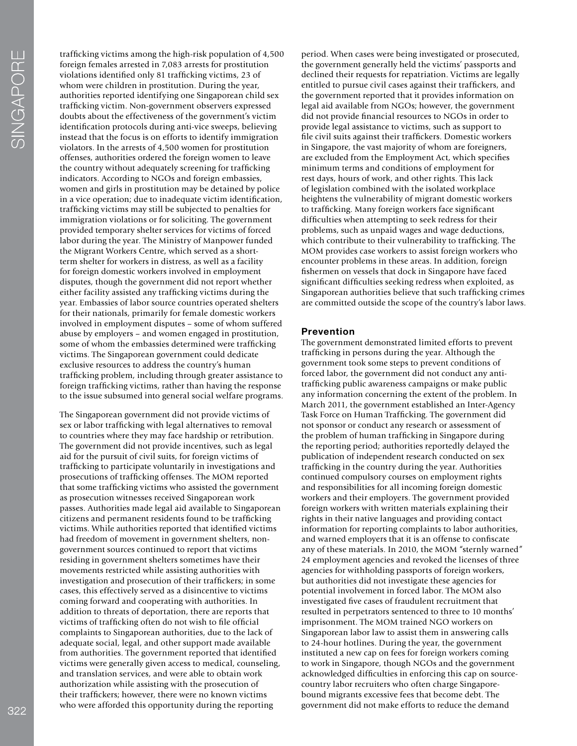traffcking victims among the high-risk population of 4,500 foreign females arrested in 7,083 arrests for prostitution violations identifed only 81 traffcking victims, 23 of whom were children in prostitution. During the year, authorities reported identifying one Singaporean child sex traffcking victim. Non-government observers expressed doubts about the effectiveness of the government's victim identifcation protocols during anti-vice sweeps, believing instead that the focus is on efforts to identify immigration violators. In the arrests of 4,500 women for prostitution offenses, authorities ordered the foreign women to leave the country without adequately screening for traffcking indicators. According to NGOs and foreign embassies, women and girls in prostitution may be detained by police in a vice operation; due to inadequate victim identifcation, traffcking victims may still be subjected to penalties for immigration violations or for soliciting. The government provided temporary shelter services for victims of forced labor during the year. The Ministry of Manpower funded the Migrant Workers Centre, which served as a shortterm shelter for workers in distress, as well as a facility for foreign domestic workers involved in employment disputes, though the government did not report whether either facility assisted any traffcking victims during the year. Embassies of labor source countries operated shelters for their nationals, primarily for female domestic workers involved in employment disputes – some of whom suffered abuse by employers – and women engaged in prostitution, some of whom the embassies determined were trafficking victims. The Singaporean government could dedicate exclusive resources to address the country's human traffcking problem, including through greater assistance to foreign traffcking victims, rather than having the response to the issue subsumed into general social welfare programs.

The Singaporean government did not provide victims of sex or labor traffcking with legal alternatives to removal to countries where they may face hardship or retribution. The government did not provide incentives, such as legal aid for the pursuit of civil suits, for foreign victims of traffcking to participate voluntarily in investigations and prosecutions of traffcking offenses. The MOM reported that some traffcking victims who assisted the government as prosecution witnesses received Singaporean work passes. Authorities made legal aid available to Singaporean citizens and permanent residents found to be traffcking victims. While authorities reported that identifed victims had freedom of movement in government shelters, nongovernment sources continued to report that victims residing in government shelters sometimes have their movements restricted while assisting authorities with investigation and prosecution of their traffckers; in some cases, this effectively served as a disincentive to victims coming forward and cooperating with authorities. In addition to threats of deportation, there are reports that victims of traffcking often do not wish to fle offcial complaints to Singaporean authorities, due to the lack of adequate social, legal, and other support made available from authorities. The government reported that identifed victims were generally given access to medical, counseling, and translation services, and were able to obtain work authorization while assisting with the prosecution of their traffckers; however, there were no known victims who were afforded this opportunity during the reporting

period. When cases were being investigated or prosecuted, the government generally held the victims' passports and declined their requests for repatriation. Victims are legally entitled to pursue civil cases against their traffckers, and the government reported that it provides information on legal aid available from NGOs; however, the government did not provide fnancial resources to NGOs in order to provide legal assistance to victims, such as support to fle civil suits against their traffckers. Domestic workers in Singapore, the vast majority of whom are foreigners, are excluded from the Employment Act, which specifes minimum terms and conditions of employment for rest days, hours of work, and other rights. This lack of legislation combined with the isolated workplace heightens the vulnerability of migrant domestic workers to traffcking. Many foreign workers face signifcant diffculties when attempting to seek redress for their problems, such as unpaid wages and wage deductions, which contribute to their vulnerability to traffcking. The MOM provides case workers to assist foreign workers who encounter problems in these areas. In addition, foreign fshermen on vessels that dock in Singapore have faced signifcant diffculties seeking redress when exploited, as Singaporean authorities believe that such traffcking crimes are committed outside the scope of the country's labor laws.

#### **Prevention**

The government demonstrated limited efforts to prevent traffcking in persons during the year. Although the government took some steps to prevent conditions of forced labor, the government did not conduct any antitraffcking public awareness campaigns or make public any information concerning the extent of the problem. In March 2011, the government established an Inter-Agency Task Force on Human Traffcking. The government did not sponsor or conduct any research or assessment of the problem of human traffcking in Singapore during the reporting period; authorities reportedly delayed the publication of independent research conducted on sex traffcking in the country during the year. Authorities continued compulsory courses on employment rights and responsibilities for all incoming foreign domestic workers and their employers. The government provided foreign workers with written materials explaining their rights in their native languages and providing contact information for reporting complaints to labor authorities, and warned employers that it is an offense to confscate any of these materials. In 2010, the MOM "sternly warned" 24 employment agencies and revoked the licenses of three agencies for withholding passports of foreign workers, but authorities did not investigate these agencies for potential involvement in forced labor. The MOM also investigated fve cases of fraudulent recruitment that resulted in perpetrators sentenced to three to 10 months' imprisonment. The MOM trained NGO workers on Singaporean labor law to assist them in answering calls to 24-hour hotlines. During the year, the government instituted a new cap on fees for foreign workers coming to work in Singapore, though NGOs and the government acknowledged diffculties in enforcing this cap on sourcecountry labor recruiters who often charge Singaporebound migrants excessive fees that become debt. The government did not make efforts to reduce the demand